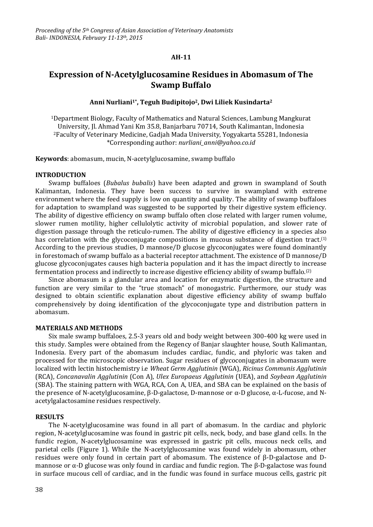#### **AH-11**

# **Expression of N-Acetylglucosamine Residues in Abomasum of The Swamp Buffalo**

### **Anni Nurliani1\* , Teguh Budipitojo2, Dwi Liliek Kusindarta<sup>2</sup>**

<sup>1</sup>Department Biology, Faculty of Mathematics and Natural Sciences, Lambung Mangkurat University, Jl. Ahmad Yani Km 35.8, Banjarbaru 70714, South Kalimantan, Indonesia <sup>2</sup>Faculty of Veterinary Medicine, Gadjah Mada University, Yogyakarta 55281, Indonesia \*Corresponding author: *nurliani\_anni@yahoo.co.id*

**Keywords**: abomasum, mucin, N-acetylglucosamine, swamp buffalo

#### **INTRODUCTION**

Swamp buffaloes (*Bubalus bubalis*) have been adapted and grown in swampland of South Kalimantan, Indonesia. They have been success to survive in swampland with extreme environment where the feed supply is low on quantity and quality. The ability of swamp buffaloes for adaptation to swampland was suggested to be supported by their digestive system efficiency. The ability of digestive efficiency on swamp buffalo often close related with larger rumen volume, slower rumen motility, higher cellulolytic activity of microbial population, and slower rate of digestion passage through the reticulo-rumen. The ability of digestive efficiency in a species also has correlation with the glycoconjugate compositions in mucous substance of digestion tract.<sup>(1)</sup> According to the previous studies, D mannose/D glucose glycoconjugates were found dominantly in forestomach of swamp buffalo as a bacterial receptor attachment. The existence of D mannose/D glucose glycoconjugates causes high bacteria population and it has the impact directly to increase fermentation process and indirectly to increase digestive efficiency ability of swamp buffalo.(2)

Since abomasum is a glandular area and location for enzymatic digestion, the structure and function are very similar to the "true stomach" of monogastric. Furthermore, our study was designed to obtain scientific explanation about digestive efficiency ability of swamp buffalo comprehensively by doing identification of the glycoconjugate type and distribution pattern in abomasum.

#### **MATERIALS AND METHODS**

Six male swamp buffaloes, 2.5-3 years old and body weight between 300-400 kg were used in this study. Samples were obtained from the Regency of Banjar slaughter house, South Kalimantan, Indonesia. Every part of the abomasum includes cardiac, fundic, and phyloric was taken and processed for the microscopic observation. Sugar residues of glycoconjugates in abomasum were localized with lectin histochemistry i.e *Wheat Germ Agglutinin* (WGA), *Ricinus Communis Agglutinin* (RCA), *Concanavalin Agglutinin* (Con A), *Ulex Europaeus Agglutinin* (UEA), and *Soybean Agglutinin* (SBA). The staining pattern with WGA, RCA, Con A, UEA, and SBA can be explained on the basis of the presence of N-acetylglucosamine, β-D-galactose, D-mannose or α-D glucose, α-L-fucose, and Nacetylgalactosamine residues respectively.

#### **RESULTS**

The N-acetylglucosamine was found in all part of abomasum. In the cardiac and phyloric region, N-acetylglucosamine was found in gastric pit cells, neck, body, and base gland cells. In the fundic region, N-acetylglucosamine was expressed in gastric pit cells, mucous neck cells, and parietal cells (Figure 1). While the N-acetylglucosamine was found widely in abomasum, other residues were only found in certain part of abomasum. The existence of β-D-galactose and Dmannose or α-D glucose was only found in cardiac and fundic region. The β-D-galactose was found in surface mucous cell of cardiac, and in the fundic was found in surface mucous cells, gastric pit